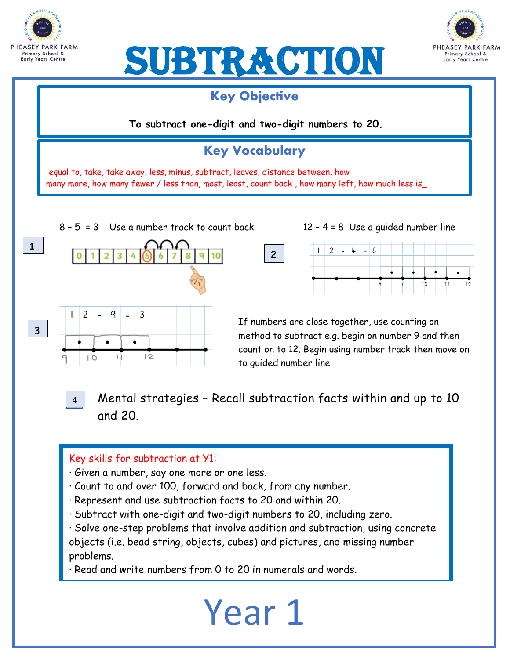





#### Key Objective **To subtract one-digit and two-digit numbers to 20.** Key Vocabulary equal to, take, take away, less, minus, subtract, leaves, distance between, how many more, how many fewer / less than, most, least, count back , how many left, how much less is\_  $8 - 5 = 3$  Use a number track to count back  $12 - 4 = 8$  Use a guided number line **1**  $2 - 4 = 8$ 2 ٩ 10  $10<sup>o</sup>$  $11$  $1<sub>2</sub>$ q  $\overline{3}$  $\mathbf{I}$  $\overline{2}$ If numbers are close together, use counting on 3 method to subtract e.g. begin on number 9 and then count on to 12. Begin using number track then move on  $\overline{2}$  $\mathbf{u}$  $\overline{0}$ to guided number line.



Mental strategies – Recall subtraction facts within and up to 10 and 20.

#### Key skills for subtraction at Y1:

- · Given a number, say one more or one less.
- · Count to and over 100, forward and back, from any number.
- · Represent and use subtraction facts to 20 and within 20.
- · Subtract with one-digit and two-digit numbers to 20, including zero.

· Solve one-step problems that involve addition and subtraction, using concrete objects (i.e. bead string, objects, cubes) and pictures, and missing number problems.

Year 1

· Read and write numbers from 0 to 20 in numerals and words.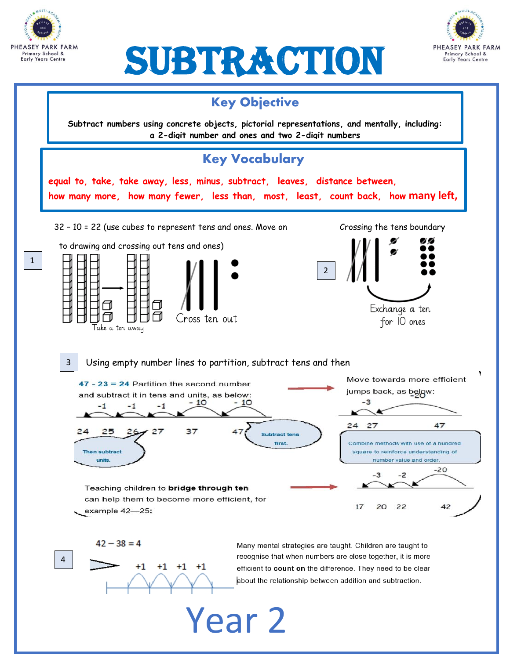



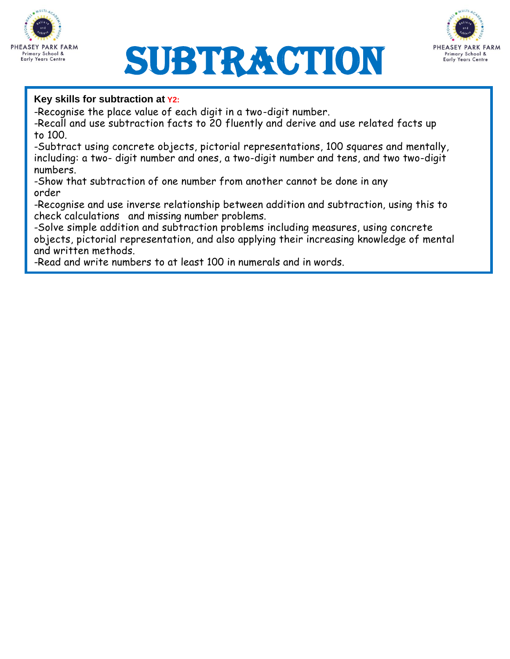



#### **Key skills for subtraction at Y2:**

-Recognise the place value of each digit in a two-digit number.

-Recall and use subtraction facts to 20 fluently and derive and use related facts up to 100.

-Subtract using concrete objects, pictorial representations, 100 squares and mentally, including: a two- digit number and ones, a two-digit number and tens, and two two-digit numbers.

-Show that subtraction of one number from another cannot be done in any order

-Recognise and use inverse relationship between addition and subtraction, using this to check calculations and missing number problems.

-Solve simple addition and subtraction problems including measures, using concrete objects, pictorial representation, and also applying their increasing knowledge of mental and written methods.

-Read and write numbers to at least 100 in numerals and in words.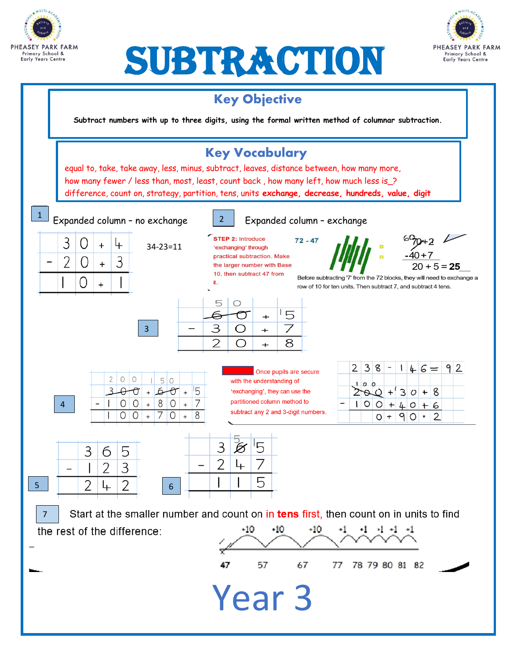



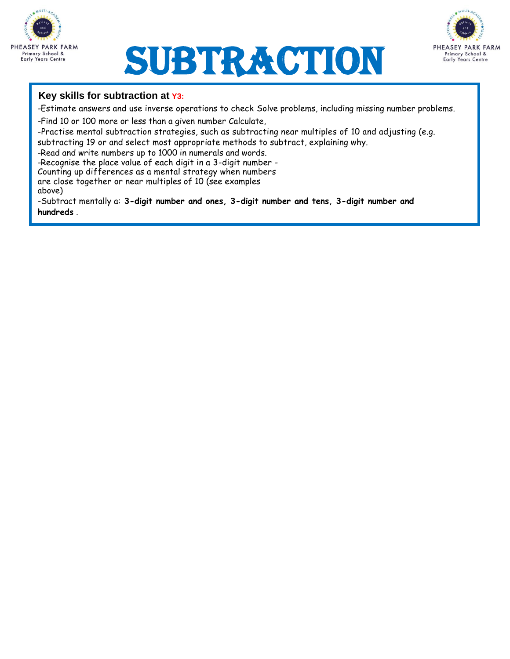





#### **Key skills for subtraction at Y3:**

-Estimate answers and use inverse operations to check Solve problems, including missing number problems.

-Find 10 or 100 more or less than a given number Calculate,

-Practise mental subtraction strategies, such as subtracting near multiples of 10 and adjusting (e.g.

subtracting 19 or and select most appropriate methods to subtract, explaining why.

-Read and write numbers up to 1000 in numerals and words.

-Recognise the place value of each digit in a 3-digit number -

Counting up differences as a mental strategy when numbers

are close together or near multiples of 10 (see examples

above)

-Subtract mentally a: **3-digit number and ones, 3-digit number and tens, 3-digit number and hundreds** .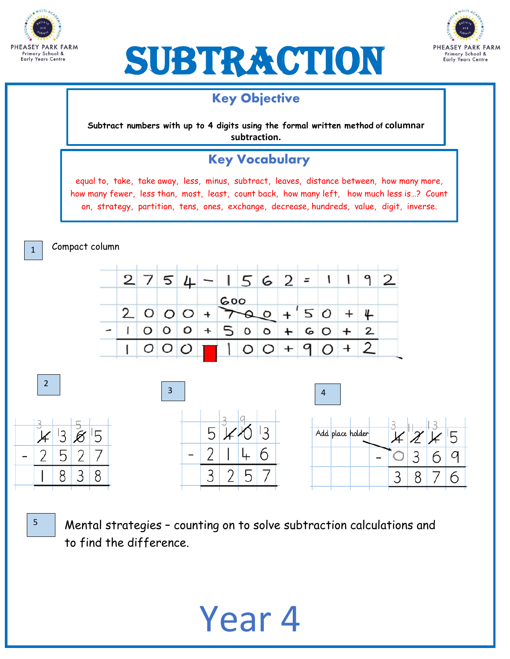





## Key Objective

**Subtract numbers with up to 4 digits using the formal written method of columnar subtraction.**

## Key Vocabulary

equal to, take, take away, less, minus, subtract, leaves, distance between, how many more, how many fewer, less than, most, least, count back, how many left, how much less is…? Count on, strategy, partition, tens, ones, exchange, decrease, hundreds, value,digit, inverse.

Compact column

1

5



Mental strategies – counting on to solve subtraction calculations and to find the difference.

Year 4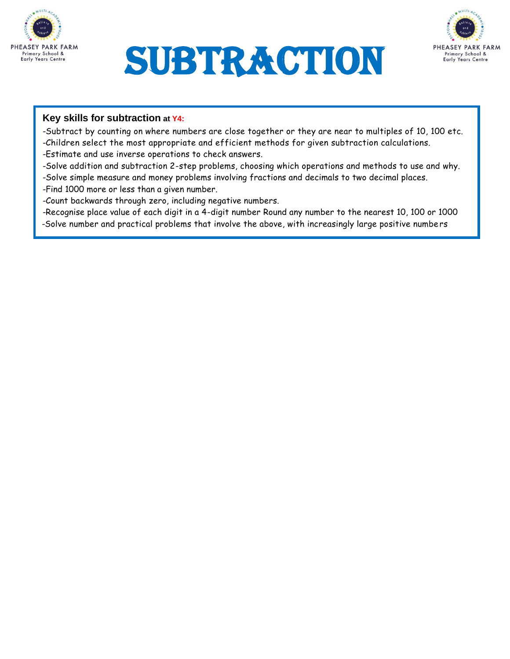





#### **Key skills for subtraction at Y4:**

-Subtract by counting on where numbers are close together or they are near to multiples of 10, 100 etc. -Children select the most appropriate and efficient methods for given subtraction calculations.

- -Estimate and use inverse operations to check answers.
- -Solve addition and subtraction 2-step problems, choosing which operations and methods to use and why.
- -Solve simple measure and money problems involving fractions and decimals to two decimal places.
- -Find 1000 more or less than a given number.
- -Count backwards through zero, including negative numbers.

-Recognise place value of each digit in a 4-digit number Round any number to the nearest 10, 100 or 1000 -Solve number and practical problems that involve the above, with increasingly large positive numbe rs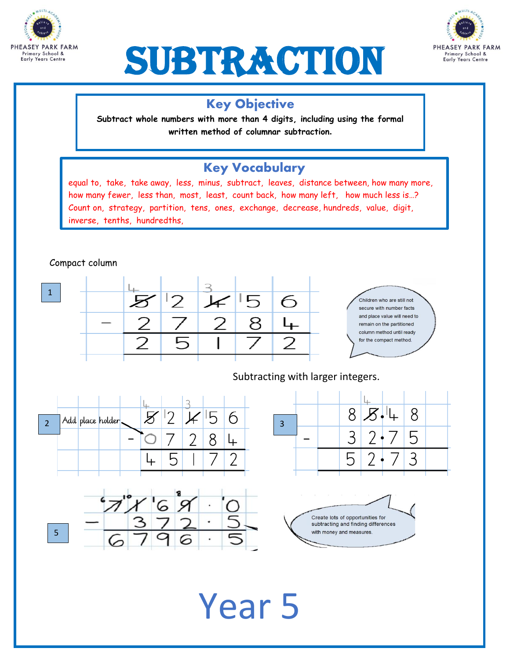





### Key Objective

**Subtract whole numbers with more than 4 digits, including using the formal written method of columnar subtraction.**

### Key Vocabulary

equal to, take, take away, less, minus, subtract, leaves, distance between, how many more, how many fewer, less than, most, least, count back, how many left, how much less is...? Count on, strategy, partition, tens, ones, exchange, decrease, hundreds, value, digit, inverse, tenths, hundredths,

Compact column

#### Subtracting with larger integers.



Year 5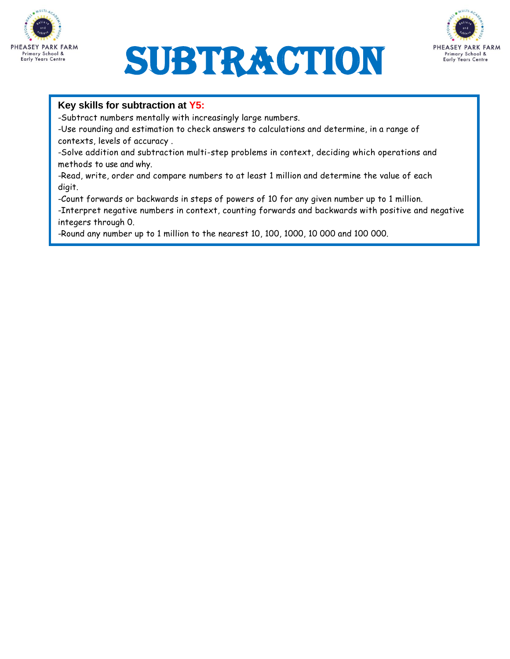





#### **Key skills for subtraction at Y5:**

-Subtract numbers mentally with increasingly large numbers.

-Use rounding and estimation to check answers to calculations and determine, in a range of contexts, levels of accuracy .

-Solve addition and subtraction multi-step problems in context, deciding which operations and methods to use and why.

-Read, write, order and compare numbers to at least 1 million and determine the value of each digit.

-Count forwards or backwards in steps of powers of 10 for any given number up to 1 million.

-Interpret negative numbers in context, counting forwards and backwards with positive and negative integers through 0.

-Round any number up to 1 million to the nearest 10, 100, 1000, 10 000 and 100 000.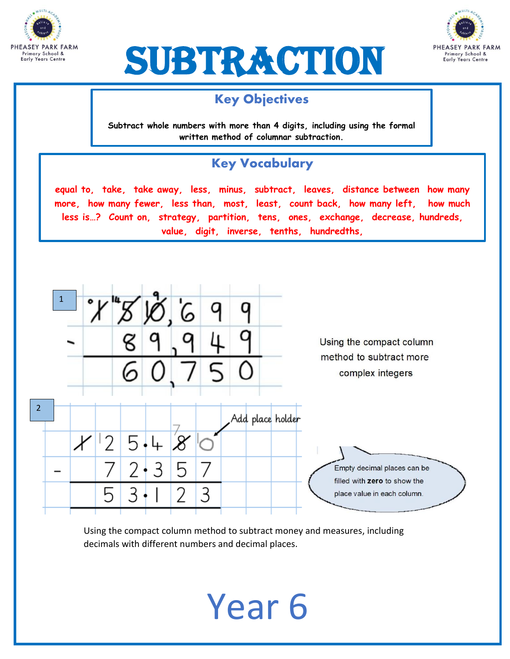



### Key Objectives

**Subtract whole numbers with more than 4 digits, including using the formal written method of columnar subtraction.**

## Key Vocabulary

Adding with decimal points **value, digit, inverse, tenths, hundredths,**  1 **less is…? Count on, strategy, partition, tens, ones, exchange, decrease, hundreds, equal to, take, take away, less, minus, subtract, leaves, distance between how many more, how many fewer, less than, most, least, count back, how many left, how much** 



Using the compact column method to subtract money and measures, including decimals with different numbers and decimal places.

Year 6